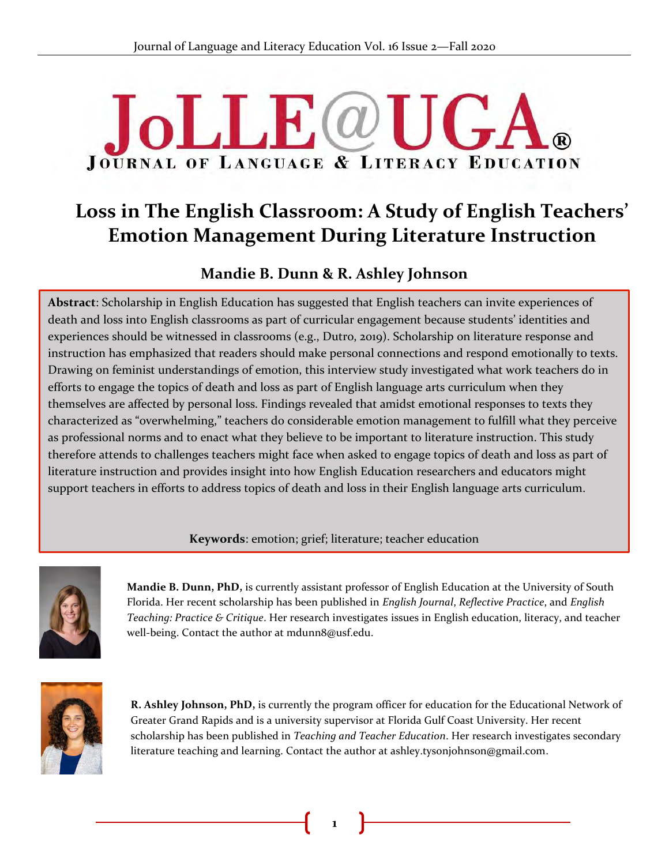# **JoLLE**@U  $\mathbf{A}$ **JOURNAL OF LANGUAGE & LITERACY EDUCATION**

# **Loss in The English Classroom: A Study of English Teachers' Emotion Management During Literature Instruction**

# **Mandie B. Dunn & R. Ashley Johnson**

**Abstract**: Scholarship in English Education has suggested that English teachers can invite experiences of death and loss into English classrooms as part of curricular engagement because students' identities and experiences should be witnessed in classrooms (e.g., Dutro, 2019). Scholarship on literature response and<br>instruction besomphasized that readers should make personal seppections and respond emotionally to to instruction has emphasized that readers should make personal connections and respond emotionally to texts. Drawing on feminist understandings of emotion, this interview study investigated what work teachers do in efforts to engage the topics of death and loss as part of English language arts curriculum when they themselves are affected by personal loss. Findings revealed that amidst emotional responses to texts they characterized as "overwhelming," teachers do considerable emotion management to fulfill what they perceive as professional norms and to enact what they believe to be important to literature instruction. This study therefore attends to challenges teachers might face when asked to engage topics of death and loss as part of literature instruction and provides insight into how English Education researchers and educators might support teachers in efforts to address topics of death and loss in their English language arts curriculum.

# **Keywords**: emotion; grief; literature; teacher education



**Mandie B. Dunn, PhD,** is currently assistant professor of English Education at the University of South Florida. Her recent scholarship has been published in *English Journal*, *Reflective Practice*, and *English Teaching: Practice & Critique*. Her research investigates issues in English education, literacy, and teacher well-being. Contact the author at mdunn8@usf.edu.



**R. Ashley Johnson, PhD,** is currently the program officer for education for the Educational Network of Greater Grand Rapids and is a university supervisor at Florida Gulf Coast University. Her recent scholarship has been published in *Teaching and Teacher Education*. Her research investigates secondary literature teaching and learning. Contact the author at ashley.tysonjohnson@gmail.com.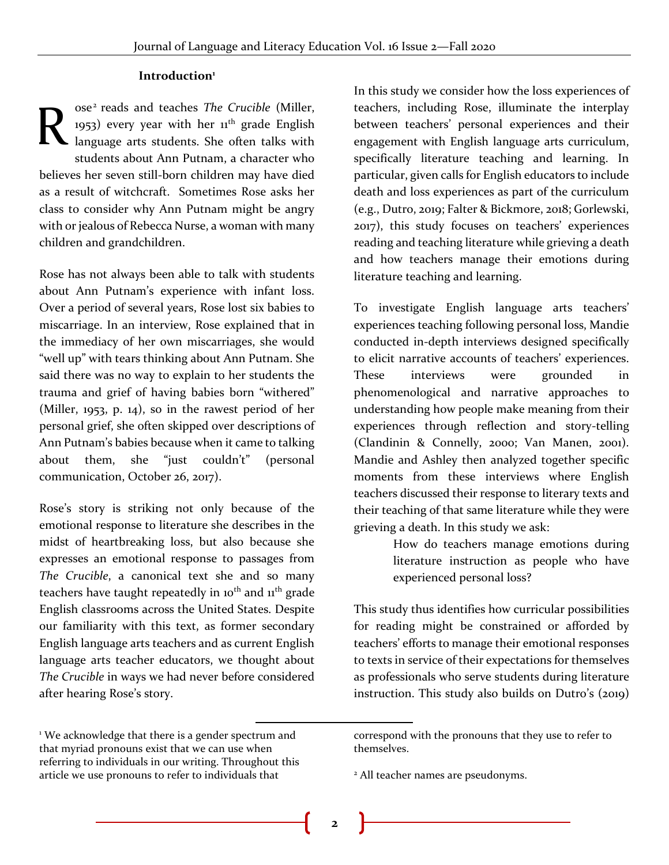#### **Introduction<sup>1</sup>**

ose<sup>2</sup> reads and teaches The Crucible (Miller, 1953) every year with her 11<sup>th</sup> grade English language arts students. She often talks with students about Ann Putnam, a character who believes her seven still-born children may have died as a result of witchcraft. Sometimes Rose asks her class to consider why Ann Putnam might be angry with or jealous of Rebecca Nurse, a woman with many children and grandchildren. R

Rose has not always been able to talk with students about Ann Putnam's experience with infant loss. Over a period of several years, Rose lost six babies to miscarriage. In an interview, Rose explained that in the immediacy of her own miscarriages, she would "well up" with tears thinking about Ann Putnam. She said there was no way to explain to her students the trauma and grief of having babies born "withered" (Miller, 1953, p. 14), so in the rawest period of her personal grief, she often skipped over descriptions of Ann Putnam's babies because when it came to talking about them, she "just couldn't" (personal communication, October 26, 2017).

Rose's story is striking not only because of the emotional response to literature she describes in the midst of heartbreaking loss, but also because she expresses an emotional response to passages from *The Crucible*, a canonical text she and so many teachers have taught repeatedly in 10<sup>th</sup> and 11<sup>th</sup> grade English classrooms across the United States. Despite our familiarity with this text, as former secondary English language arts teachers and as current English language arts teacher educators, we thought about *The Crucible* in ways we had never before considered after hearing Rose's story.

In this study we consider how the loss experiences of teachers, including Rose, illuminate the interplay between teachers' personal experiences and their engagement with English language arts curriculum, specifically literature teaching and learning. In particular, given calls for English educators to include death and loss experiences as part of the curriculum (e.g., Dutro, 2019; Falter & Bickmore, 2018; Gorlewski, 2017), this study focuses on teachers' experiences reading and teaching literature while grieving a death and how teachers manage their emotions during literature teaching and learning.

To investigate English language arts teachers' experiences teaching following personal loss, Mandie conducted in-depth interviews designed specifically to elicit narrative accounts of teachers' experiences. These interviews were grounded in phenomenological and narrative approaches to understanding how people make meaning from their experiences through reflection and story-telling (Clandinin & Connelly, 2000; Van Manen, 2001). Mandie and Ashley then analyzed together specific moments from these interviews where English teachers discussed their response to literary texts and their teaching of that same literature while they were grieving a death. In this study we ask:

> How do teachers manage emotions during literature instruction as people who have experienced personal loss?

This study thus identifies how curricular possibilities for reading might be constrained or afforded by teachers' efforts to manage their emotional responses to texts in service of their expectations for themselves as professionals who serve students during literature instruction. This study also builds on Dutro's (2019)

<sup>&</sup>lt;sup>1</sup> We acknowledge that there is a gender spectrum and that myriad pronouns exist that we can use when referring to individuals in our writing. Throughout this article we use pronouns to refer to individuals that

correspond with the pronouns that they use to refer to themselves.

<sup>2</sup> All teacher names are pseudonyms.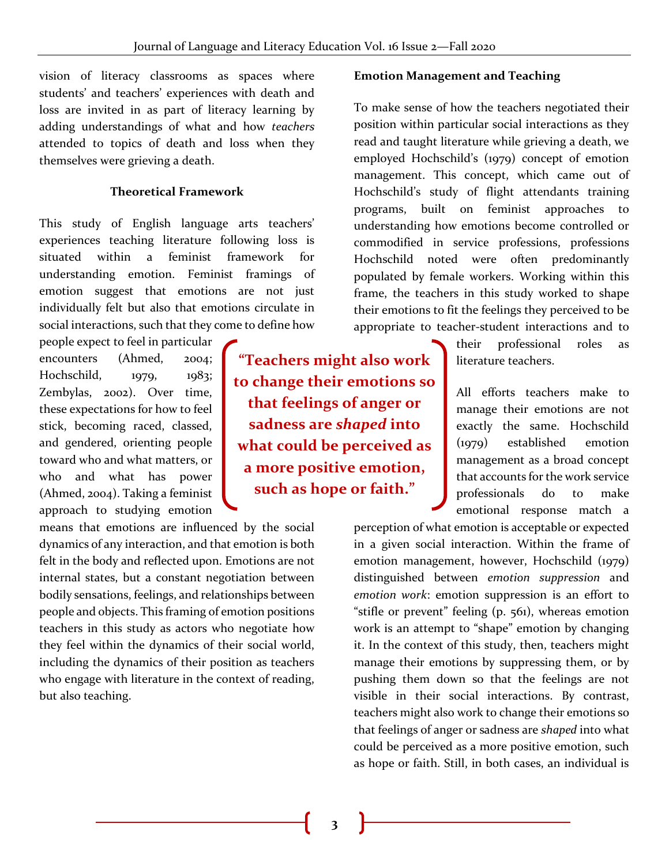vision of literacy classrooms as spaces where students' and teachers' experiences with death and loss are invited in as part of literacy learning by adding understandings of what and how *teachers* attended to topics of death and loss when they themselves were grieving a death.

# **Theoretical Framework**

This study of English language arts teachers' experiences teaching literature following loss is situated within a feminist framework for understanding emotion. Feminist framings of emotion suggest that emotions are not just individually felt but also that emotions circulate in social interactions, such that they come to define how

people expect to feel in particular encounters (Ahmed, 2004; Hochschild, 1979, 1983; Zembylas, 2002). Over time, these expectations for how to feel stick, becoming raced, classed, and gendered, orienting people toward who and what matters, or who and what has power (Ahmed, 2004). Taking a feminist approach to studying emotion

means that emotions are influenced by the social dynamics of any interaction, and that emotion is both felt in the body and reflected upon. Emotions are not internal states, but a constant negotiation between bodily sensations, feelings, and relationships between people and objects. This framing of emotion positions teachers in this study as actors who negotiate how they feel within the dynamics of their social world, including the dynamics of their position as teachers who engage with literature in the context of reading, but also teaching.

**"Teachers might also work to change their emotions so that feelings of anger or sadness are** *shaped* **into what could be perceived as a more positive emotion, such as hope or faith."**

#### **Emotion Management and Teaching**

To make sense of how the teachers negotiated their position within particular social interactions as they read and taught literature while grieving a death, we employed Hochschild's (1979) concept of emotion management. This concept, which came out of Hochschild's study of flight attendants training programs, built on feminist approaches to understanding how emotions become controlled or commodified in service professions, professions Hochschild noted were often predominantly populated by female workers. Working within this frame, the teachers in this study worked to shape their emotions to fit the feelings they perceived to be appropriate to teacher-student interactions and to

> their professional roles as literature teachers.

> All efforts teachers make to manage their emotions are not exactly the same. Hochschild (1979) established emotion management as a broad concept that accounts for the work service professionals do to make emotional response match a

perception of what emotion is acceptable or expected in a given social interaction. Within the frame of emotion management, however, Hochschild (1979) distinguished between *emotion suppression* and *emotion work*: emotion suppression is an effort to "stifle or prevent" feeling (p. 561), whereas emotion work is an attempt to "shape" emotion by changing it. In the context of this study, then, teachers might manage their emotions by suppressing them, or by pushing them down so that the feelings are not visible in their social interactions. By contrast, teachers might also work to change their emotions so that feelings of anger or sadness are *shaped* into what could be perceived as a more positive emotion, such as hope or faith. Still, in both cases, an individual is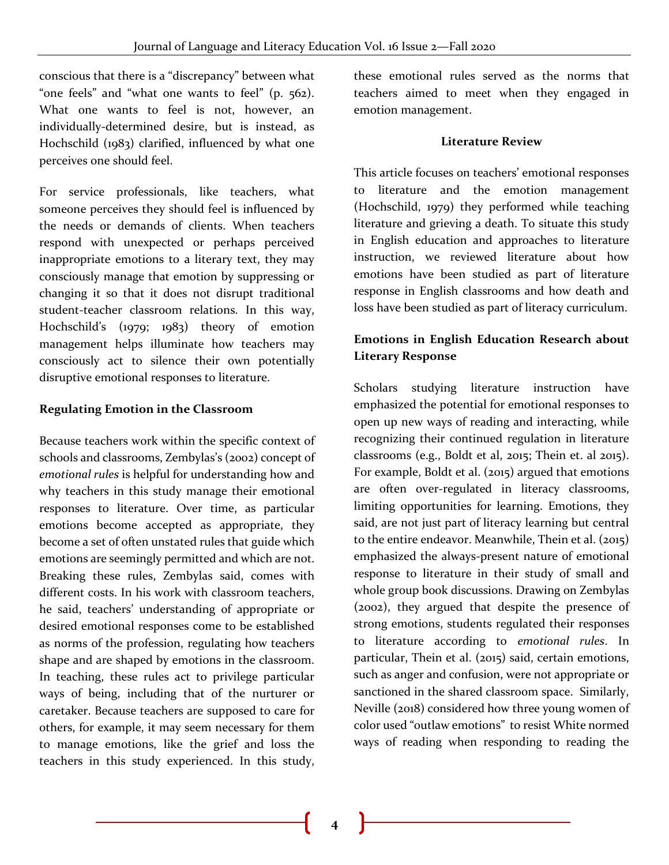conscious that there is a "discrepancy" between what "one feels" and "what one wants to feel" (p. 562). What one wants to feel is not, however, an individually-determined desire, but is instead, as Hochschild (1983) clarified, influenced by what one perceives one should feel.

For service professionals, like teachers, what someone perceives they should feel is influenced by the needs or demands of clients. When teachers respond with unexpected or perhaps perceived inappropriate emotions to a literary text, they may consciously manage that emotion by suppressing or changing it so that it does not disrupt traditional student-teacher classroom relations. In this way, Hochschild's (1979; 1983) theory of emotion management helps illuminate how teachers may consciously act to silence their own potentially disruptive emotional responses to literature.

# **Regulating Emotion in the Classroom**

Because teachers work within the specific context of schools and classrooms, Zembylas's (2002) concept of *emotional rules* is helpful for understanding how and why teachers in this study manage their emotional responses to literature. Over time, as particular emotions become accepted as appropriate, they become a set of often unstated rules that guide which emotions are seemingly permitted and which are not. Breaking these rules, Zembylas said, comes with different costs. In his work with classroom teachers, he said, teachers' understanding of appropriate or desired emotional responses come to be established as norms of the profession, regulating how teachers shape and are shaped by emotions in the classroom. In teaching, these rules act to privilege particular ways of being, including that of the nurturer or caretaker. Because teachers are supposed to care for others, for example, it may seem necessary for them to manage emotions, like the grief and loss the teachers in this study experienced. In this study,

these emotional rules served as the norms that teachers aimed to meet when they engaged in emotion management.

#### **Literature Review**

This article focuses on teachers' emotional responses to literature and the emotion management (Hochschild, 1979) they performed while teaching literature and grieving a death. To situate this study in English education and approaches to literature instruction, we reviewed literature about how emotions have been studied as part of literature response in English classrooms and how death and loss have been studied as part of literacy curriculum.

# **Emotions in English Education Research about Literary Response**

Scholars studying literature instruction have emphasized the potential for emotional responses to open up new ways of reading and interacting, while recognizing their continued regulation in literature classrooms (e.g., Boldt et al, 2015; Thein et. al 2015). For example, Boldt et al. (2015) argued that emotions are often over-regulated in literacy classrooms, limiting opportunities for learning. Emotions, they said, are not just part of literacy learning but central to the entire endeavor. Meanwhile, Thein et al. (2015) emphasized the always-present nature of emotional response to literature in their study of small and whole group book discussions. Drawing on Zembylas (2002), they argued that despite the presence of strong emotions, students regulated their responses to literature according to *emotional rules*. In particular, Thein et al. (2015) said, certain emotions, such as anger and confusion, were not appropriate or sanctioned in the shared classroom space. Similarly, Neville (2018) considered how three young women of color used "outlaw emotions" to resist White normed ways of reading when responding to reading the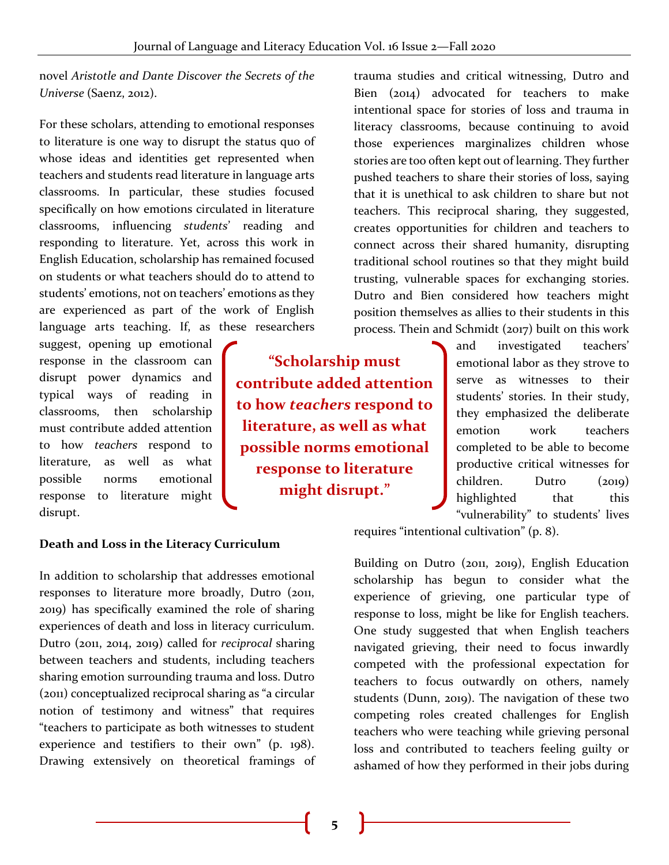novel *Aristotle and Dante Discover the Secrets of the Universe* (Saenz, 2012).

For these scholars, attending to emotional responses to literature is one way to disrupt the status quo of whose ideas and identities get represented when teachers and students read literature in language arts classrooms. In particular, these studies focused specifically on how emotions circulated in literature classrooms, influencing *students*' reading and responding to literature. Yet, across this work in English Education, scholarship has remained focused on students or what teachers should do to attend to students' emotions, not on teachers' emotions as they are experienced as part of the work of English language arts teaching. If, as these researchers

suggest, opening up emotional response in the classroom can disrupt power dynamics and typical ways of reading in classrooms, then scholarship must contribute added attention to how *teachers* respond to literature, as well as what possible norms emotional response to literature might disrupt.

**"Scholarship must contribute added attention to how** *teachers* **respond to literature, as well as what possible norms emotional response to literature might disrupt."**

trauma studies and critical witnessing, Dutro and Bien (2014) advocated for teachers to make intentional space for stories of loss and trauma in literacy classrooms, because continuing to avoid those experiences marginalizes children whose stories are too often kept out of learning. They further pushed teachers to share their stories of loss, saying that it is unethical to ask children to share but not teachers. This reciprocal sharing, they suggested, creates opportunities for children and teachers to connect across their shared humanity, disrupting traditional school routines so that they might build trusting, vulnerable spaces for exchanging stories. Dutro and Bien considered how teachers might position themselves as allies to their students in this process. Thein and Schmidt (2017) built on this work

> and investigated teachers' emotional labor as they strove to serve as witnesses to their students' stories. In their study, they emphasized the deliberate emotion work teachers completed to be able to become productive critical witnesses for children. Dutro (2019) highlighted that this "vulnerability" to students' lives

requires "intentional cultivation" (p. 8).

Building on Dutro (2011, 2019), English Education scholarship has begun to consider what the experience of grieving, one particular type of response to loss, might be like for English teachers. One study suggested that when English teachers navigated grieving, their need to focus inwardly competed with the professional expectation for teachers to focus outwardly on others, namely students (Dunn, 2019). The navigation of these two competing roles created challenges for English teachers who were teaching while grieving personal loss and contributed to teachers feeling guilty or ashamed of how they performed in their jobs during

#### **Death and Loss in the Literacy Curriculum**

In addition to scholarship that addresses emotional responses to literature more broadly, Dutro (2011, 2019) has specifically examined the role of sharing experiences of death and loss in literacy curriculum. Dutro (2011, 2014, 2019) called for *reciprocal* sharing between teachers and students, including teachers sharing emotion surrounding trauma and loss. Dutro (2011) conceptualized reciprocal sharing as "a circular notion of testimony and witness" that requires "teachers to participate as both witnesses to student experience and testifiers to their own" (p. 198). Drawing extensively on theoretical framings of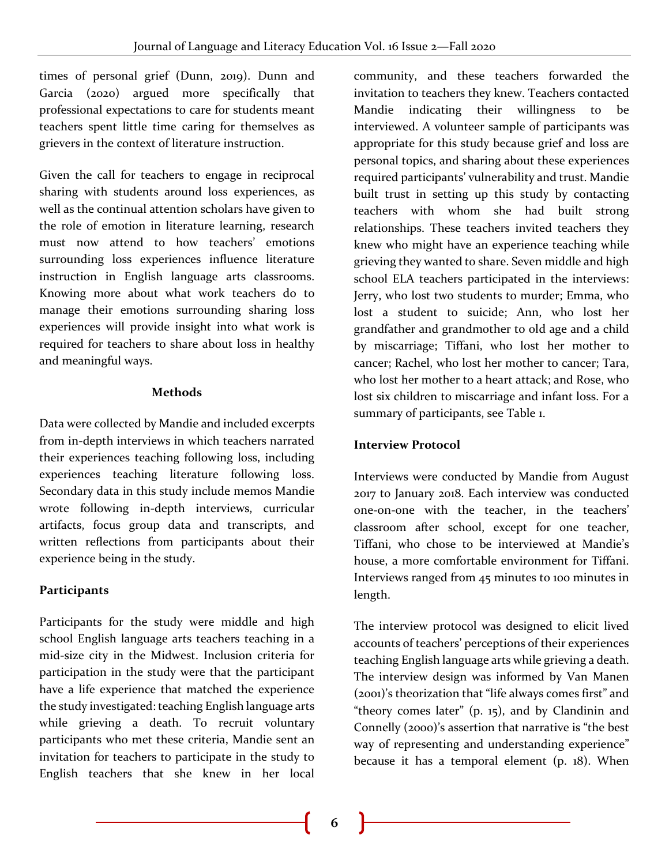times of personal grief (Dunn, 2019). Dunn and Garcia (2020) argued more specifically that professional expectations to care for students meant teachers spent little time caring for themselves as grievers in the context of literature instruction.

Given the call for teachers to engage in reciprocal sharing with students around loss experiences, as well as the continual attention scholars have given to the role of emotion in literature learning, research must now attend to how teachers' emotions surrounding loss experiences influence literature instruction in English language arts classrooms. Knowing more about what work teachers do to manage their emotions surrounding sharing loss experiences will provide insight into what work is required for teachers to share about loss in healthy and meaningful ways.

#### **Methods**

Data were collected by Mandie and included excerpts from in-depth interviews in which teachers narrated their experiences teaching following loss, including experiences teaching literature following loss. Secondary data in this study include memos Mandie wrote following in-depth interviews, curricular artifacts, focus group data and transcripts, and written reflections from participants about their experience being in the study.

# **Participants**

Participants for the study were middle and high school English language arts teachers teaching in a mid-size city in the Midwest. Inclusion criteria for participation in the study were that the participant have a life experience that matched the experience the study investigated: teaching English language arts while grieving a death. To recruit voluntary participants who met these criteria, Mandie sent an invitation for teachers to participate in the study to English teachers that she knew in her local

community, and these teachers forwarded the invitation to teachers they knew. Teachers contacted Mandie indicating their willingness to be interviewed. A volunteer sample of participants was appropriate for this study because grief and loss are personal topics, and sharing about these experiences required participants' vulnerability and trust. Mandie built trust in setting up this study by contacting teachers with whom she had built strong relationships. These teachers invited teachers they knew who might have an experience teaching while grieving they wanted to share. Seven middle and high school ELA teachers participated in the interviews: Jerry, who lost two students to murder; Emma, who lost a student to suicide; Ann, who lost her grandfather and grandmother to old age and a child by miscarriage; Tiffani, who lost her mother to cancer; Rachel, who lost her mother to cancer; Tara, who lost her mother to a heart attack; and Rose, who lost six children to miscarriage and infant loss. For a summary of participants, see Table 1.

# **Interview Protocol**

Interviews were conducted by Mandie from August 2017 to January 2018. Each interview was conducted one-on-one with the teacher, in the teachers' classroom after school, except for one teacher, Tiffani, who chose to be interviewed at Mandie's house, a more comfortable environment for Tiffani. Interviews ranged from 45 minutes to 100 minutes in length.

The interview protocol was designed to elicit lived accounts of teachers' perceptions of their experiences teaching English language arts while grieving a death. The interview design was informed by Van Manen (2001)'s theorization that "life always comes first" and "theory comes later" (p. 15), and by Clandinin and Connelly (2000)'s assertion that narrative is "the best way of representing and understanding experience" because it has a temporal element (p. 18). When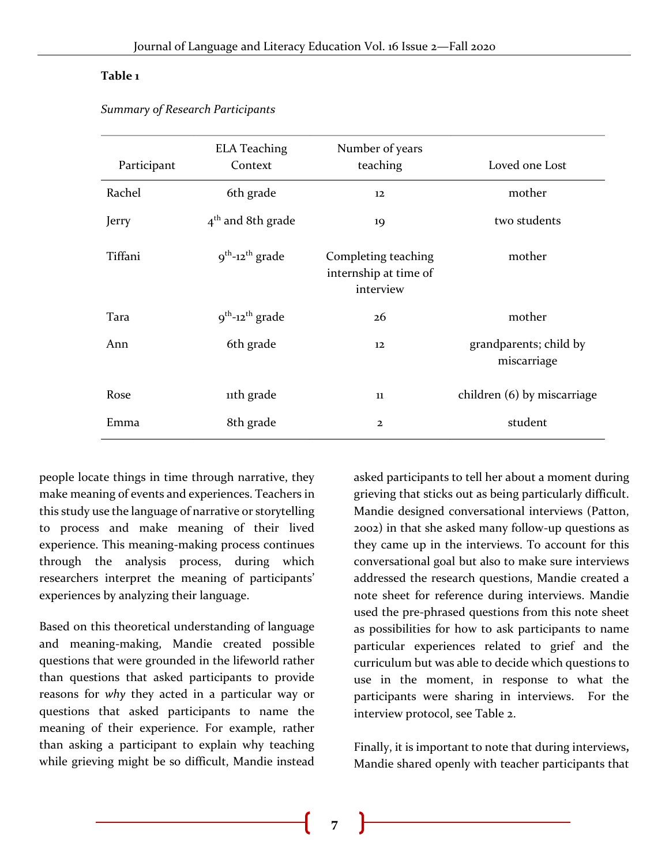#### **Table 1**

| Participant | <b>ELA Teaching</b><br>Context   | Number of years<br>teaching                               | Loved one Lost                        |
|-------------|----------------------------------|-----------------------------------------------------------|---------------------------------------|
| Rachel      | 6th grade                        | $12 \overline{ }$                                         | mother                                |
| Jerry       | $4th$ and 8th grade              | 19                                                        | two students                          |
| Tiffani     | $9^{th}$ -12 <sup>th</sup> grade | Completing teaching<br>internship at time of<br>interview | mother                                |
| Tara        | $9^{th}$ -12 <sup>th</sup> grade | 26                                                        | mother                                |
| Ann         | 6th grade                        | 12                                                        | grandparents; child by<br>miscarriage |
| Rose        | 11th grade                       | 11                                                        | children (6) by miscarriage           |
| Emma        | 8th grade                        | $\overline{2}$                                            | student                               |

*Summary of Research Participants*

people locate things in time through narrative, they make meaning of events and experiences. Teachers in this study use the language of narrative or storytelling to process and make meaning of their lived experience. This meaning-making process continues through the analysis process, during which researchers interpret the meaning of participants' experiences by analyzing their language.

Based on this theoretical understanding of language and meaning-making, Mandie created possible questions that were grounded in the lifeworld rather than questions that asked participants to provide reasons for *why* they acted in a particular way or questions that asked participants to name the meaning of their experience. For example, rather than asking a participant to explain why teaching while grieving might be so difficult, Mandie instead

asked participants to tell her about a moment during grieving that sticks out as being particularly difficult. Mandie designed conversational interviews (Patton, 2002) in that she asked many follow-up questions as they came up in the interviews. To account for this conversational goal but also to make sure interviews addressed the research questions, Mandie created a note sheet for reference during interviews. Mandie used the pre-phrased questions from this note sheet as possibilities for how to ask participants to name particular experiences related to grief and the curriculum but was able to decide which questions to use in the moment, in response to what the participants were sharing in interviews. For the interview protocol, see Table 2.

Finally, it is important to note that during interviews**,**  Mandie shared openly with teacher participants that

**7**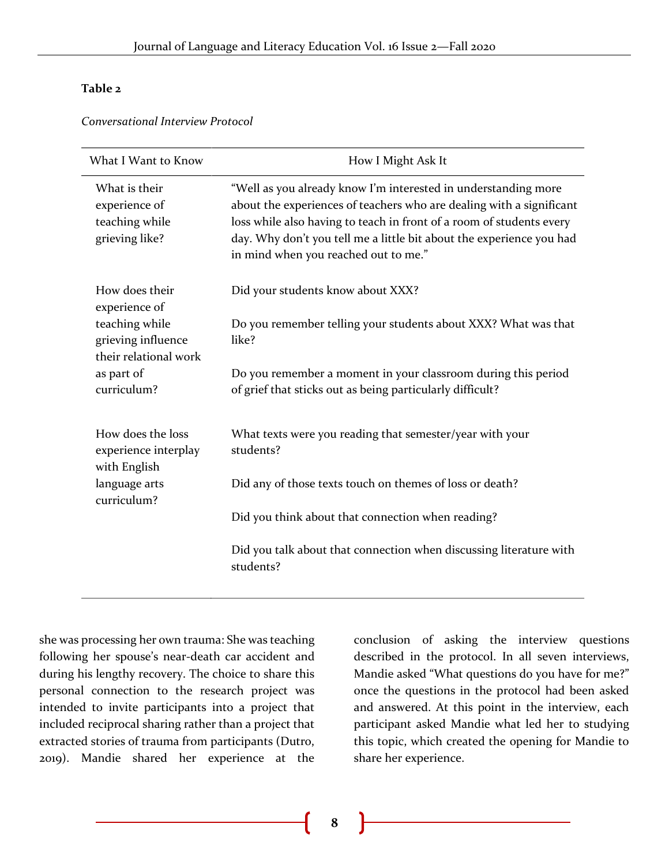#### **Table 2**

*Conversational Interview Protocol*

| What I Want to Know                                                | How I Might Ask It                                                                                                                                                                                                                                                                                                             |  |
|--------------------------------------------------------------------|--------------------------------------------------------------------------------------------------------------------------------------------------------------------------------------------------------------------------------------------------------------------------------------------------------------------------------|--|
| What is their<br>experience of<br>teaching while<br>grieving like? | "Well as you already know I'm interested in understanding more<br>about the experiences of teachers who are dealing with a significant<br>loss while also having to teach in front of a room of students every<br>day. Why don't you tell me a little bit about the experience you had<br>in mind when you reached out to me." |  |
| How does their<br>experience of                                    | Did your students know about XXX?                                                                                                                                                                                                                                                                                              |  |
| teaching while<br>grieving influence<br>their relational work      | Do you remember telling your students about XXX? What was that<br>like?                                                                                                                                                                                                                                                        |  |
| as part of<br>curriculum?                                          | Do you remember a moment in your classroom during this period<br>of grief that sticks out as being particularly difficult?                                                                                                                                                                                                     |  |
| How does the loss<br>experience interplay<br>with English          | What texts were you reading that semester/year with your<br>students?                                                                                                                                                                                                                                                          |  |
| language arts<br>curriculum?                                       | Did any of those texts touch on themes of loss or death?                                                                                                                                                                                                                                                                       |  |
|                                                                    | Did you think about that connection when reading?                                                                                                                                                                                                                                                                              |  |
|                                                                    | Did you talk about that connection when discussing literature with<br>students?                                                                                                                                                                                                                                                |  |

she was processing her own trauma: She was teaching following her spouse's near-death car accident and during his lengthy recovery. The choice to share this personal connection to the research project was intended to invite participants into a project that included reciprocal sharing rather than a project that extracted stories of trauma from participants (Dutro, 2019). Mandie shared her experience at the

conclusion of asking the interview questions described in the protocol. In all seven interviews, Mandie asked "What questions do you have for me?" once the questions in the protocol had been asked and answered. At this point in the interview, each participant asked Mandie what led her to studying this topic, which created the opening for Mandie to share her experience.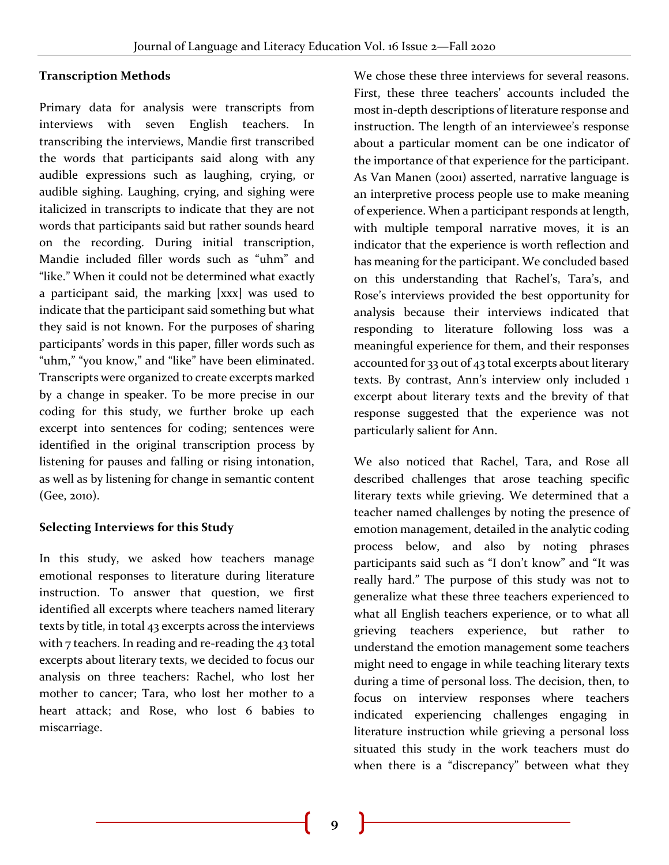# **Transcription Methods**

Primary data for analysis were transcripts from interviews with seven English teachers. In transcribing the interviews, Mandie first transcribed the words that participants said along with any audible expressions such as laughing, crying, or audible sighing. Laughing, crying, and sighing were italicized in transcripts to indicate that they are not words that participants said but rather sounds heard on the recording. During initial transcription, Mandie included filler words such as "uhm" and "like." When it could not be determined what exactly a participant said, the marking [xxx] was used to indicate that the participant said something but what they said is not known. For the purposes of sharing participants' words in this paper, filler words such as "uhm," "you know," and "like" have been eliminated. Transcripts were organized to create excerpts marked by a change in speaker. To be more precise in our coding for this study, we further broke up each excerpt into sentences for coding; sentences were identified in the original transcription process by listening for pauses and falling or rising intonation, as well as by listening for change in semantic content (Gee, 2010).

#### **Selecting Interviews for this Study**

In this study, we asked how teachers manage emotional responses to literature during literature instruction. To answer that question, we first identified all excerpts where teachers named literary texts by title, in total 43 excerpts across the interviews with 7 teachers. In reading and re-reading the 43 total excerpts about literary texts, we decided to focus our analysis on three teachers: Rachel, who lost her mother to cancer; Tara, who lost her mother to a heart attack; and Rose, who lost 6 babies to miscarriage.

We chose these three interviews for several reasons. First, these three teachers' accounts included the most in-depth descriptions of literature response and instruction. The length of an interviewee's response about a particular moment can be one indicator of the importance of that experience for the participant. As Van Manen (2001) asserted, narrative language is an interpretive process people use to make meaning of experience. When a participant responds at length, with multiple temporal narrative moves, it is an indicator that the experience is worth reflection and has meaning for the participant. We concluded based on this understanding that Rachel's, Tara's, and Rose's interviews provided the best opportunity for analysis because their interviews indicated that responding to literature following loss was a meaningful experience for them, and their responses accounted for 33 out of 43 total excerpts about literary texts. By contrast, Ann's interview only included 1 excerpt about literary texts and the brevity of that response suggested that the experience was not particularly salient for Ann.

We also noticed that Rachel, Tara, and Rose all described challenges that arose teaching specific literary texts while grieving. We determined that a teacher named challenges by noting the presence of emotion management, detailed in the analytic coding process below, and also by noting phrases participants said such as "I don't know" and "It was really hard." The purpose of this study was not to generalize what these three teachers experienced to what all English teachers experience, or to what all grieving teachers experience, but rather to understand the emotion management some teachers might need to engage in while teaching literary texts during a time of personal loss. The decision, then, to focus on interview responses where teachers indicated experiencing challenges engaging in literature instruction while grieving a personal loss situated this study in the work teachers must do when there is a "discrepancy" between what they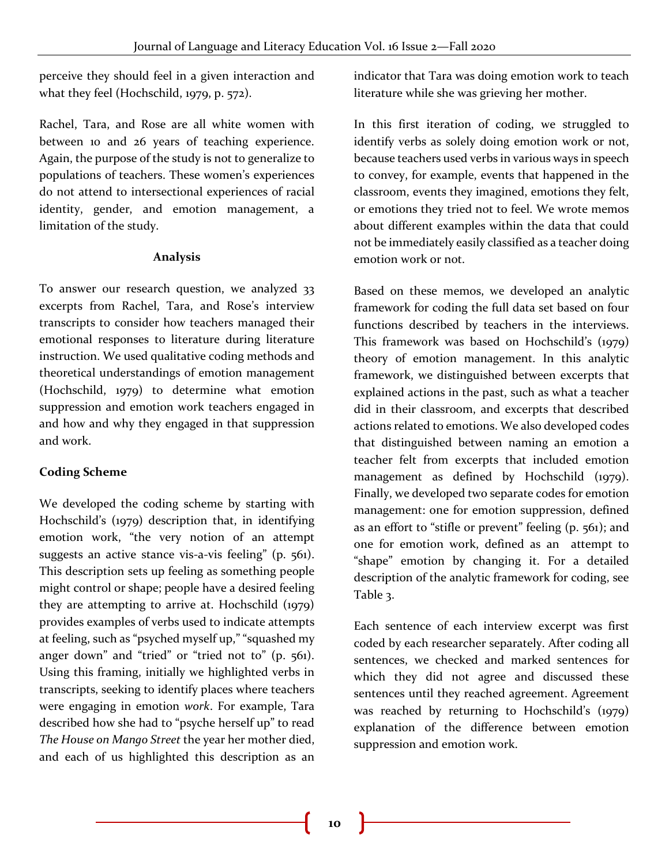perceive they should feel in a given interaction and what they feel (Hochschild, 1979, p. 572).

Rachel, Tara, and Rose are all white women with between 10 and 26 years of teaching experience. Again, the purpose of the study is not to generalize to populations of teachers. These women's experiences do not attend to intersectional experiences of racial identity, gender, and emotion management, a limitation of the study.

#### **Analysis**

To answer our research question, we analyzed 33 excerpts from Rachel, Tara, and Rose's interview transcripts to consider how teachers managed their emotional responses to literature during literature instruction. We used qualitative coding methods and theoretical understandings of emotion management (Hochschild, 1979) to determine what emotion suppression and emotion work teachers engaged in and how and why they engaged in that suppression and work.

# **Coding Scheme**

We developed the coding scheme by starting with Hochschild's (1979) description that, in identifying emotion work, "the very notion of an attempt suggests an active stance vis-a-vis feeling" (p. 561). This description sets up feeling as something people might control or shape; people have a desired feeling they are attempting to arrive at. Hochschild (1979) provides examples of verbs used to indicate attempts at feeling, such as "psyched myself up," "squashed my anger down" and "tried" or "tried not to" (p. 561). Using this framing, initially we highlighted verbs in transcripts, seeking to identify places where teachers were engaging in emotion *work*. For example, Tara described how she had to "psyche herself up" to read *The House on Mango Street* the year her mother died, and each of us highlighted this description as an

indicator that Tara was doing emotion work to teach literature while she was grieving her mother.

In this first iteration of coding, we struggled to identify verbs as solely doing emotion work or not, because teachers used verbs in various ways in speech to convey, for example, events that happened in the classroom, events they imagined, emotions they felt, or emotions they tried not to feel. We wrote memos about different examples within the data that could not be immediately easily classified as a teacher doing emotion work or not.

Based on these memos, we developed an analytic framework for coding the full data set based on four functions described by teachers in the interviews. This framework was based on Hochschild's (1979) theory of emotion management. In this analytic framework, we distinguished between excerpts that explained actions in the past, such as what a teacher did in their classroom, and excerpts that described actions related to emotions. We also developed codes that distinguished between naming an emotion a teacher felt from excerpts that included emotion management as defined by Hochschild (1979). Finally, we developed two separate codes for emotion management: one for emotion suppression, defined as an effort to "stifle or prevent" feeling (p. 561); and one for emotion work, defined as an attempt to "shape" emotion by changing it. For a detailed description of the analytic framework for coding, see Table 3.

Each sentence of each interview excerpt was first coded by each researcher separately. After coding all sentences, we checked and marked sentences for which they did not agree and discussed these sentences until they reached agreement. Agreement was reached by returning to Hochschild's (1979) explanation of the difference between emotion suppression and emotion work.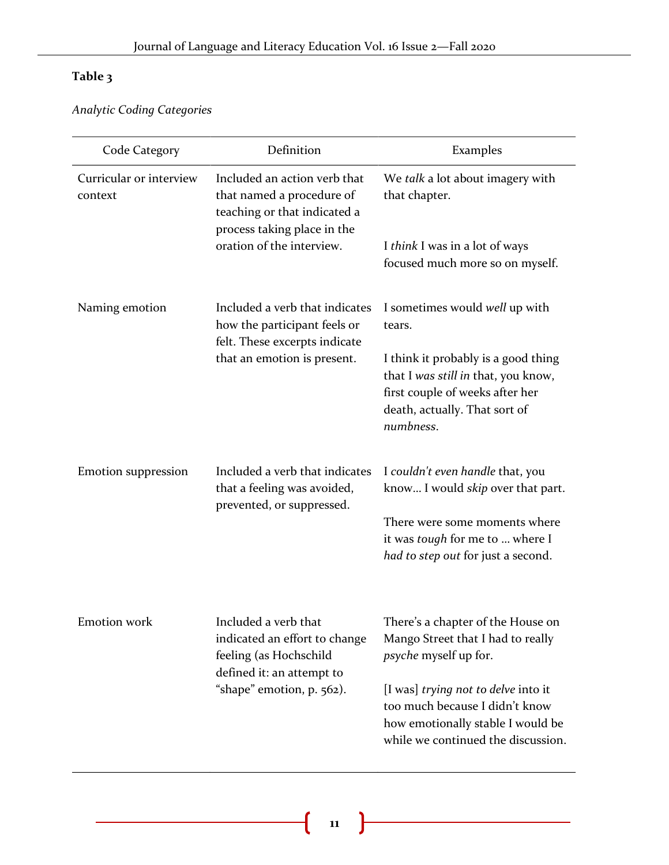# **Table 3**

*Analytic Coding Categories*

| Code Category                      | Definition                                                                                                                                            | Examples                                                                                                                                                    |
|------------------------------------|-------------------------------------------------------------------------------------------------------------------------------------------------------|-------------------------------------------------------------------------------------------------------------------------------------------------------------|
| Curricular or interview<br>context | Included an action verb that<br>that named a procedure of<br>teaching or that indicated a<br>process taking place in the<br>oration of the interview. | We talk a lot about imagery with<br>that chapter.                                                                                                           |
|                                    |                                                                                                                                                       | I think I was in a lot of ways<br>focused much more so on myself.                                                                                           |
| Naming emotion                     | Included a verb that indicates<br>how the participant feels or<br>felt. These excerpts indicate                                                       | I sometimes would well up with<br>tears.                                                                                                                    |
|                                    | that an emotion is present.                                                                                                                           | I think it probably is a good thing<br>that I was still in that, you know,<br>first couple of weeks after her<br>death, actually. That sort of<br>numbness. |
| <b>Emotion suppression</b>         | Included a verb that indicates<br>that a feeling was avoided,<br>prevented, or suppressed.                                                            | I couldn't even handle that, you<br>know I would <i>skip</i> over that part.                                                                                |
|                                    |                                                                                                                                                       | There were some moments where<br>it was <i>tough</i> for me to  where I<br>had to step out for just a second.                                               |
| <b>Emotion</b> work                | Included a verb that<br>indicated an effort to change<br>feeling (as Hochschild<br>defined it: an attempt to<br>"shape" emotion, p. 562).             | There's a chapter of the House on<br>Mango Street that I had to really<br><i>psyche</i> myself up for.                                                      |
|                                    |                                                                                                                                                       | [I was] trying not to delve into it<br>too much because I didn't know<br>how emotionally stable I would be<br>while we continued the discussion.            |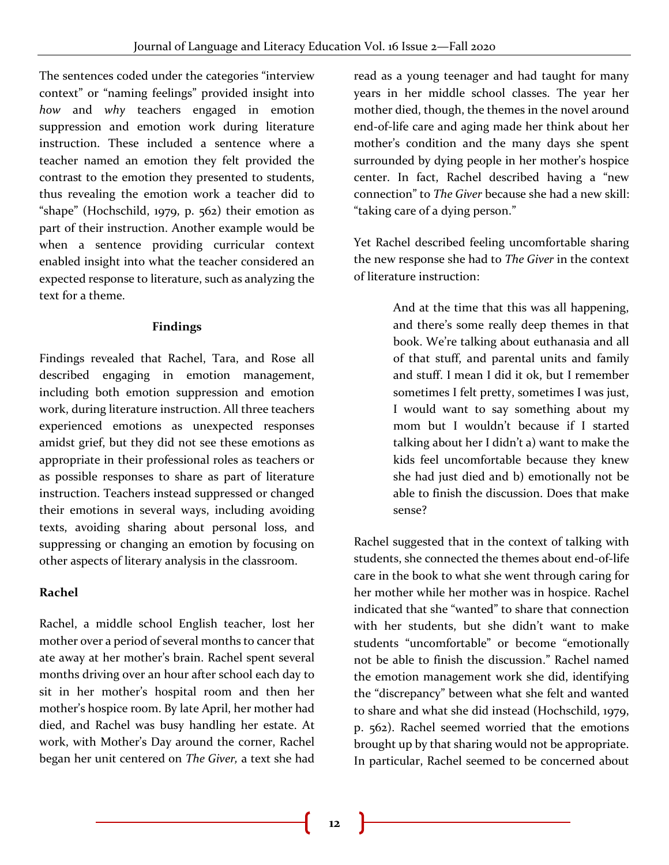The sentences coded under the categories "interview context" or "naming feelings" provided insight into *how* and *why* teachers engaged in emotion suppression and emotion work during literature instruction. These included a sentence where a teacher named an emotion they felt provided the contrast to the emotion they presented to students, thus revealing the emotion work a teacher did to "shape" (Hochschild, 1979, p. 562) their emotion as part of their instruction. Another example would be when a sentence providing curricular context enabled insight into what the teacher considered an expected response to literature, such as analyzing the text for a theme.

#### **Findings**

Findings revealed that Rachel, Tara, and Rose all described engaging in emotion management, including both emotion suppression and emotion work, during literature instruction. All three teachers experienced emotions as unexpected responses amidst grief, but they did not see these emotions as appropriate in their professional roles as teachers or as possible responses to share as part of literature instruction. Teachers instead suppressed or changed their emotions in several ways, including avoiding texts, avoiding sharing about personal loss, and suppressing or changing an emotion by focusing on other aspects of literary analysis in the classroom.

# **Rachel**

Rachel, a middle school English teacher, lost her mother over a period of several months to cancer that ate away at her mother's brain. Rachel spent several months driving over an hour after school each day to sit in her mother's hospital room and then her mother's hospice room. By late April, her mother had died, and Rachel was busy handling her estate. At work, with Mother's Day around the corner, Rachel began her unit centered on *The Giver,* a text she had read as a young teenager and had taught for many years in her middle school classes. The year her mother died, though, the themes in the novel around end-of-life care and aging made her think about her mother's condition and the many days she spent surrounded by dying people in her mother's hospice center. In fact, Rachel described having a "new connection" to *The Giver* because she had a new skill: "taking care of a dying person."

Yet Rachel described feeling uncomfortable sharing the new response she had to *The Giver* in the context of literature instruction:

> And at the time that this was all happening, and there's some really deep themes in that book. We're talking about euthanasia and all of that stuff, and parental units and family and stuff. I mean I did it ok, but I remember sometimes I felt pretty, sometimes I was just, I would want to say something about my mom but I wouldn't because if I started talking about her I didn't a) want to make the kids feel uncomfortable because they knew she had just died and b) emotionally not be able to finish the discussion. Does that make sense?

Rachel suggested that in the context of talking with students, she connected the themes about end-of-life care in the book to what she went through caring for her mother while her mother was in hospice. Rachel indicated that she "wanted" to share that connection with her students, but she didn't want to make students "uncomfortable" or become "emotionally not be able to finish the discussion." Rachel named the emotion management work she did, identifying the "discrepancy" between what she felt and wanted to share and what she did instead (Hochschild, 1979, p. 562). Rachel seemed worried that the emotions brought up by that sharing would not be appropriate. In particular, Rachel seemed to be concerned about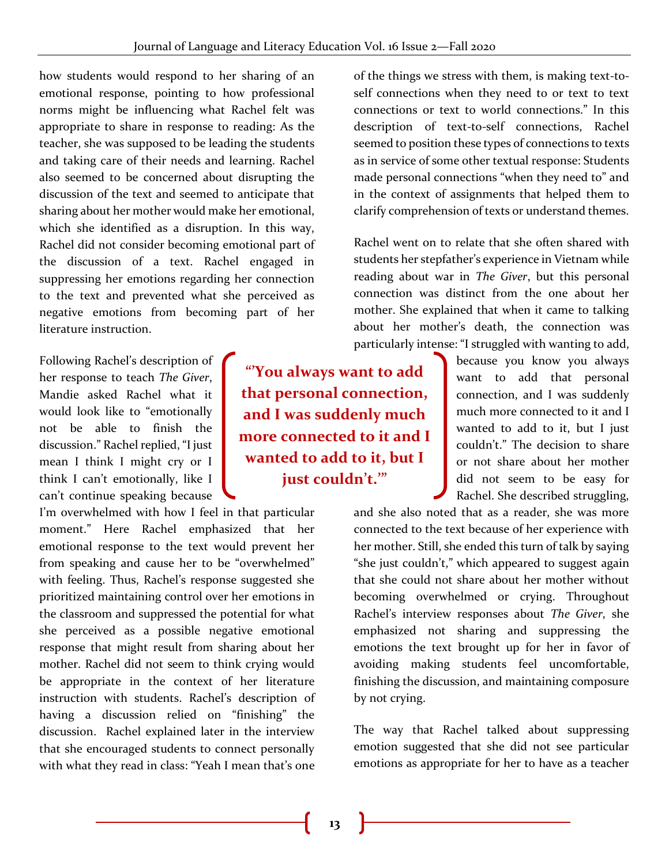how students would respond to her sharing of an emotional response, pointing to how professional norms might be influencing what Rachel felt was appropriate to share in response to reading: As the teacher, she was supposed to be leading the students and taking care of their needs and learning. Rachel also seemed to be concerned about disrupting the discussion of the text and seemed to anticipate that sharing about her mother would make her emotional, which she identified as a disruption. In this way, Rachel did not consider becoming emotional part of the discussion of a text. Rachel engaged in suppressing her emotions regarding her connection to the text and prevented what she perceived as negative emotions from becoming part of her literature instruction.

Following Rachel's description of her response to teach *The Giver*, Mandie asked Rachel what it would look like to "emotionally not be able to finish the discussion." Rachel replied, "I just mean I think I might cry or I think I can't emotionally, like I can't continue speaking because

I'm overwhelmed with how I feel in that particular moment." Here Rachel emphasized that her emotional response to the text would prevent her from speaking and cause her to be "overwhelmed" with feeling. Thus, Rachel's response suggested she prioritized maintaining control over her emotions in the classroom and suppressed the potential for what she perceived as a possible negative emotional response that might result from sharing about her mother. Rachel did not seem to think crying would be appropriate in the context of her literature instruction with students. Rachel's description of having a discussion relied on "finishing" the discussion. Rachel explained later in the interview that she encouraged students to connect personally with what they read in class: "Yeah I mean that's one

**"'You always want to add that personal connection, and I was suddenly much more connected to it and I wanted to add to it, but I just couldn't.'"**

of the things we stress with them, is making text-toself connections when they need to or text to text connections or text to world connections." In this description of text-to-self connections, Rachel seemed to position these types of connections to texts as in service of some other textual response: Students made personal connections "when they need to" and in the context of assignments that helped them to clarify comprehension of texts or understand themes.

Rachel went on to relate that she often shared with students her stepfather's experience in Vietnam while reading about war in *The Giver*, but this personal connection was distinct from the one about her mother. She explained that when it came to talking about her mother's death, the connection was particularly intense: "I struggled with wanting to add,

> because you know you always want to add that personal connection, and I was suddenly much more connected to it and I wanted to add to it, but I just couldn't." The decision to share or not share about her mother did not seem to be easy for Rachel. She described struggling,

and she also noted that as a reader, she was more connected to the text because of her experience with her mother. Still, she ended this turn of talk by saying "she just couldn't," which appeared to suggest again that she could not share about her mother without becoming overwhelmed or crying. Throughout Rachel's interview responses about *The Giver*, she emphasized not sharing and suppressing the emotions the text brought up for her in favor of avoiding making students feel uncomfortable, finishing the discussion, and maintaining composure by not crying.

The way that Rachel talked about suppressing emotion suggested that she did not see particular emotions as appropriate for her to have as a teacher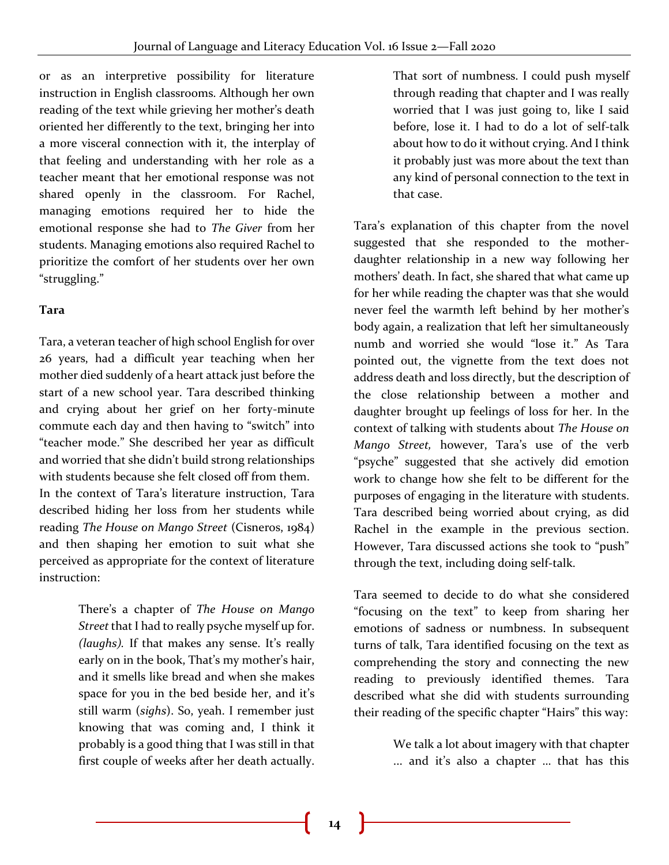or as an interpretive possibility for literature instruction in English classrooms. Although her own reading of the text while grieving her mother's death oriented her differently to the text, bringing her into a more visceral connection with it, the interplay of that feeling and understanding with her role as a teacher meant that her emotional response was not shared openly in the classroom. For Rachel, managing emotions required her to hide the emotional response she had to *The Giver* from her students. Managing emotions also required Rachel to prioritize the comfort of her students over her own "struggling."

# **Tara**

Tara, a veteran teacher of high school English for over 26 years, had a difficult year teaching when her mother died suddenly of a heart attack just before the start of a new school year. Tara described thinking and crying about her grief on her forty-minute commute each day and then having to "switch" into "teacher mode." She described her year as difficult and worried that she didn't build strong relationships with students because she felt closed off from them. In the context of Tara's literature instruction, Tara described hiding her loss from her students while reading *The House on Mango Street* (Cisneros, 1984) and then shaping her emotion to suit what she perceived as appropriate for the context of literature instruction:

> There's a chapter of *The House on Mango Street* that I had to really psyche myself up for. *(laughs).* If that makes any sense. It's really early on in the book, That's my mother's hair, and it smells like bread and when she makes space for you in the bed beside her, and it's still warm (*sighs*). So, yeah. I remember just knowing that was coming and, I think it probably is a good thing that I was still in that first couple of weeks after her death actually.

That sort of numbness. I could push myself through reading that chapter and I was really worried that I was just going to, like I said before, lose it. I had to do a lot of self-talk about how to do it without crying. And I think it probably just was more about the text than any kind of personal connection to the text in that case.

Tara's explanation of this chapter from the novel suggested that she responded to the motherdaughter relationship in a new way following her mothers' death. In fact, she shared that what came up for her while reading the chapter was that she would never feel the warmth left behind by her mother's body again, a realization that left her simultaneously numb and worried she would "lose it." As Tara pointed out, the vignette from the text does not address death and loss directly, but the description of the close relationship between a mother and daughter brought up feelings of loss for her. In the context of talking with students about *The House on Mango Street,* however, Tara's use of the verb "psyche" suggested that she actively did emotion work to change how she felt to be different for the purposes of engaging in the literature with students. Tara described being worried about crying, as did Rachel in the example in the previous section. However, Tara discussed actions she took to "push" through the text, including doing self-talk.

Tara seemed to decide to do what she considered "focusing on the text" to keep from sharing her emotions of sadness or numbness. In subsequent turns of talk, Tara identified focusing on the text as comprehending the story and connecting the new reading to previously identified themes. Tara described what she did with students surrounding their reading of the specific chapter "Hairs" this way:

> We talk a lot about imagery with that chapter ... and it's also a chapter … that has this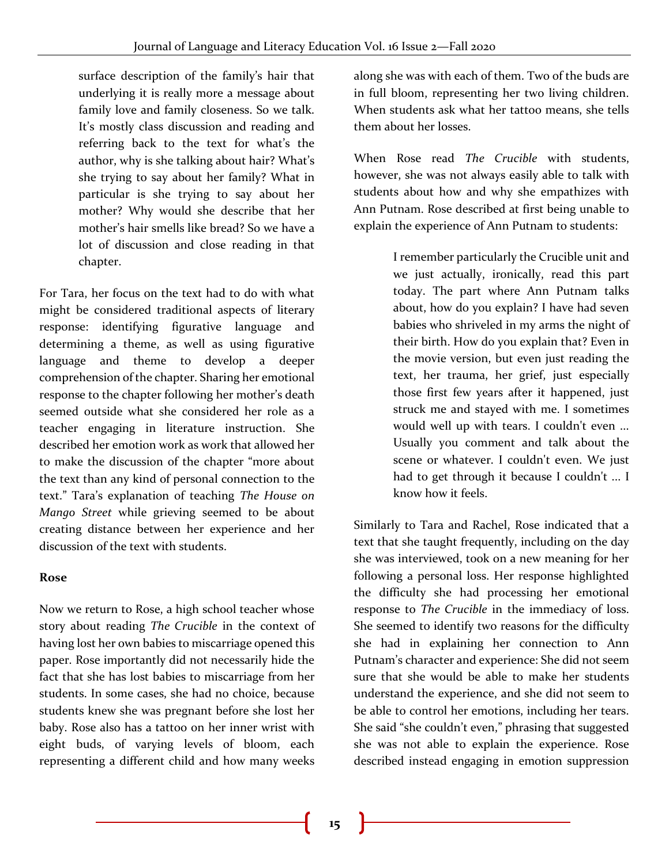surface description of the family's hair that underlying it is really more a message about family love and family closeness. So we talk. It's mostly class discussion and reading and referring back to the text for what's the author, why is she talking about hair? What's she trying to say about her family? What in particular is she trying to say about her mother? Why would she describe that her mother's hair smells like bread? So we have a lot of discussion and close reading in that chapter.

For Tara, her focus on the text had to do with what might be considered traditional aspects of literary response: identifying figurative language and determining a theme, as well as using figurative language and theme to develop a deeper comprehension of the chapter. Sharing her emotional response to the chapter following her mother's death seemed outside what she considered her role as a teacher engaging in literature instruction. She described her emotion work as work that allowed her to make the discussion of the chapter "more about the text than any kind of personal connection to the text." Tara's explanation of teaching *The House on Mango Street* while grieving seemed to be about creating distance between her experience and her discussion of the text with students.

# **Rose**

Now we return to Rose, a high school teacher whose story about reading *The Crucible* in the context of having lost her own babies to miscarriage opened this paper. Rose importantly did not necessarily hide the fact that she has lost babies to miscarriage from her students. In some cases, she had no choice, because students knew she was pregnant before she lost her baby. Rose also has a tattoo on her inner wrist with eight buds, of varying levels of bloom, each representing a different child and how many weeks

along she was with each of them. Two of the buds are in full bloom, representing her two living children. When students ask what her tattoo means, she tells them about her losses.

When Rose read *The Crucible* with students, however, she was not always easily able to talk with students about how and why she empathizes with Ann Putnam. Rose described at first being unable to explain the experience of Ann Putnam to students:

> I remember particularly the Crucible unit and we just actually, ironically, read this part today. The part where Ann Putnam talks about, how do you explain? I have had seven babies who shriveled in my arms the night of their birth. How do you explain that? Even in the movie version, but even just reading the text, her trauma, her grief, just especially those first few years after it happened, just struck me and stayed with me. I sometimes would well up with tears. I couldn't even ... Usually you comment and talk about the scene or whatever. I couldn't even. We just had to get through it because I couldn't ... I know how it feels.

Similarly to Tara and Rachel, Rose indicated that a text that she taught frequently, including on the day she was interviewed, took on a new meaning for her following a personal loss. Her response highlighted the difficulty she had processing her emotional response to *The Crucible* in the immediacy of loss. She seemed to identify two reasons for the difficulty she had in explaining her connection to Ann Putnam's character and experience: She did not seem sure that she would be able to make her students understand the experience, and she did not seem to be able to control her emotions, including her tears. She said "she couldn't even," phrasing that suggested she was not able to explain the experience. Rose described instead engaging in emotion suppression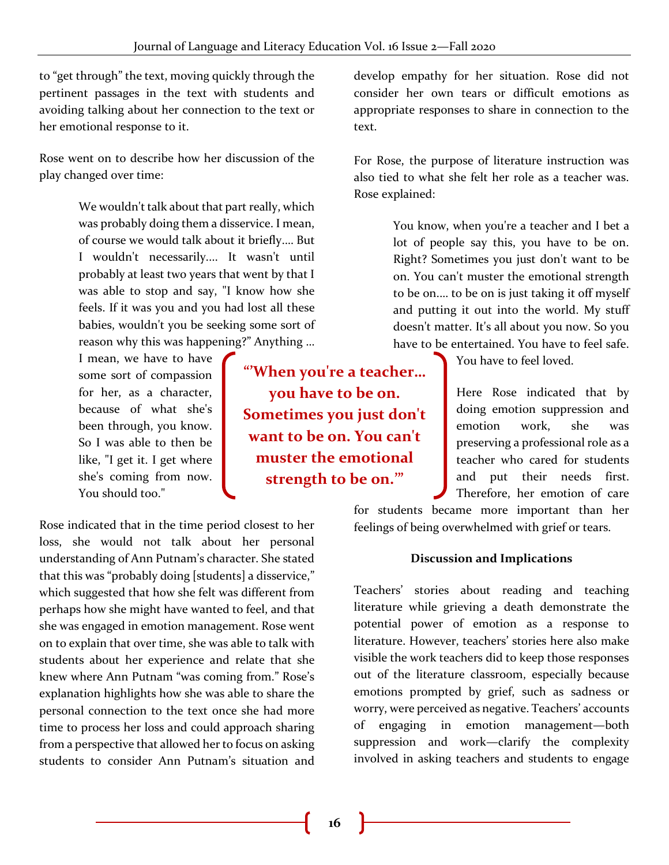to "get through" the text, moving quickly through the pertinent passages in the text with students and avoiding talking about her connection to the text or her emotional response to it.

Rose went on to describe how her discussion of the play changed over time:

> We wouldn't talk about that part really, which was probably doing them a disservice. I mean, of course we would talk about it briefly.… But I wouldn't necessarily.... It wasn't until probably at least two years that went by that I was able to stop and say, "I know how she feels. If it was you and you had lost all these babies, wouldn't you be seeking some sort of reason why this was happening?" Anything …

I mean, we have to have some sort of compassion for her, as a character, because of what she's been through, you know. So I was able to then be like, "I get it. I get where she's coming from now. You should too."

**"'When you're a teacher… you have to be on. Sometimes you just don't want to be on. You can't muster the emotional strength to be on.'"**

Rose indicated that in the time period closest to her loss, she would not talk about her personal understanding of Ann Putnam's character. She stated that this was "probably doing [students] a disservice," which suggested that how she felt was different from perhaps how she might have wanted to feel, and that she was engaged in emotion management. Rose went on to explain that over time, she was able to talk with students about her experience and relate that she knew where Ann Putnam "was coming from." Rose's explanation highlights how she was able to share the personal connection to the text once she had more time to process her loss and could approach sharing from a perspective that allowed her to focus on asking students to consider Ann Putnam's situation and

develop empathy for her situation. Rose did not consider her own tears or difficult emotions as appropriate responses to share in connection to the text.

For Rose, the purpose of literature instruction was also tied to what she felt her role as a teacher was. Rose explained:

> You know, when you're a teacher and I bet a lot of people say this, you have to be on. Right? Sometimes you just don't want to be on. You can't muster the emotional strength to be on.… to be on is just taking it off myself and putting it out into the world. My stuff doesn't matter. It's all about you now. So you have to be entertained. You have to feel safe.

> > You have to feel loved.

Here Rose indicated that by doing emotion suppression and emotion work, she was preserving a professional role as a teacher who cared for students and put their needs first. Therefore, her emotion of care

for students became more important than her feelings of being overwhelmed with grief or tears.

# **Discussion and Implications**

Teachers' stories about reading and teaching literature while grieving a death demonstrate the potential power of emotion as a response to literature. However, teachers' stories here also make visible the work teachers did to keep those responses out of the literature classroom, especially because emotions prompted by grief, such as sadness or worry, were perceived as negative. Teachers' accounts of engaging in emotion management—both suppression and work—clarify the complexity involved in asking teachers and students to engage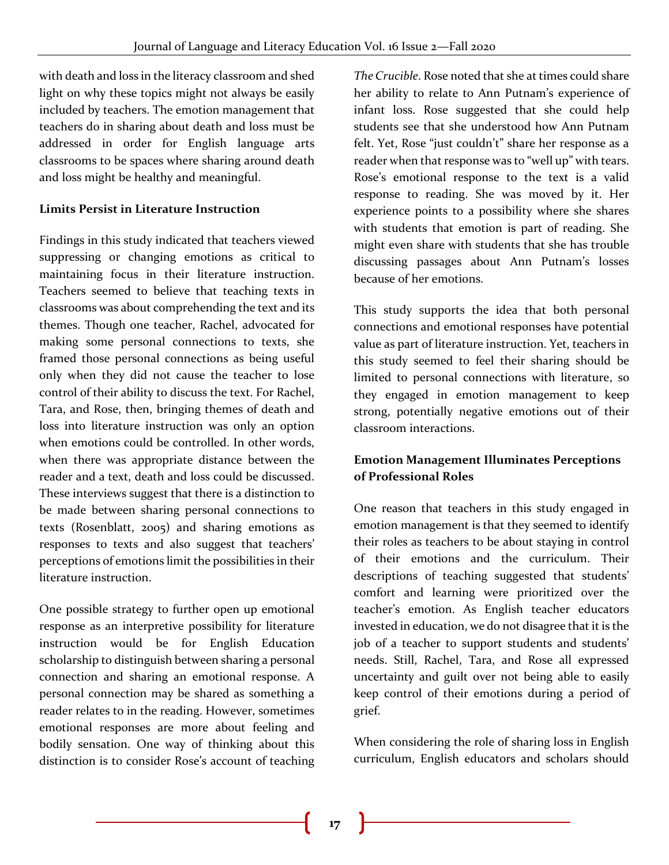with death and loss in the literacy classroom and shed light on why these topics might not always be easily included by teachers. The emotion management that teachers do in sharing about death and loss must be addressed in order for English language arts classrooms to be spaces where sharing around death and loss might be healthy and meaningful.

# **Limits Persist in Literature Instruction**

Findings in this study indicated that teachers viewed suppressing or changing emotions as critical to maintaining focus in their literature instruction. Teachers seemed to believe that teaching texts in classrooms was about comprehending the text and its themes. Though one teacher, Rachel, advocated for making some personal connections to texts, she framed those personal connections as being useful only when they did not cause the teacher to lose control of their ability to discuss the text. For Rachel, Tara, and Rose, then, bringing themes of death and loss into literature instruction was only an option when emotions could be controlled. In other words, when there was appropriate distance between the reader and a text, death and loss could be discussed. These interviews suggest that there is a distinction to be made between sharing personal connections to texts (Rosenblatt, 2005) and sharing emotions as responses to texts and also suggest that teachers' perceptions of emotions limit the possibilities in their literature instruction.

One possible strategy to further open up emotional response as an interpretive possibility for literature instruction would be for English Education scholarship to distinguish between sharing a personal connection and sharing an emotional response. A personal connection may be shared as something a reader relates to in the reading. However, sometimes emotional responses are more about feeling and bodily sensation. One way of thinking about this distinction is to consider Rose's account of teaching

*The Crucible*. Rose noted that she at times could share her ability to relate to Ann Putnam's experience of infant loss. Rose suggested that she could help students see that she understood how Ann Putnam felt. Yet, Rose "just couldn't" share her response as a reader when that response was to "well up" with tears. Rose's emotional response to the text is a valid response to reading. She was moved by it. Her experience points to a possibility where she shares with students that emotion is part of reading. She might even share with students that she has trouble discussing passages about Ann Putnam's losses because of her emotions.

This study supports the idea that both personal connections and emotional responses have potential value as part of literature instruction. Yet, teachers in this study seemed to feel their sharing should be limited to personal connections with literature, so they engaged in emotion management to keep strong, potentially negative emotions out of their classroom interactions.

# **Emotion Management Illuminates Perceptions of Professional Roles**

One reason that teachers in this study engaged in emotion management is that they seemed to identify their roles as teachers to be about staying in control of their emotions and the curriculum. Their descriptions of teaching suggested that students' comfort and learning were prioritized over the teacher's emotion. As English teacher educators invested in education, we do not disagree that it is the job of a teacher to support students and students' needs. Still, Rachel, Tara, and Rose all expressed uncertainty and guilt over not being able to easily keep control of their emotions during a period of grief.

When considering the role of sharing loss in English curriculum, English educators and scholars should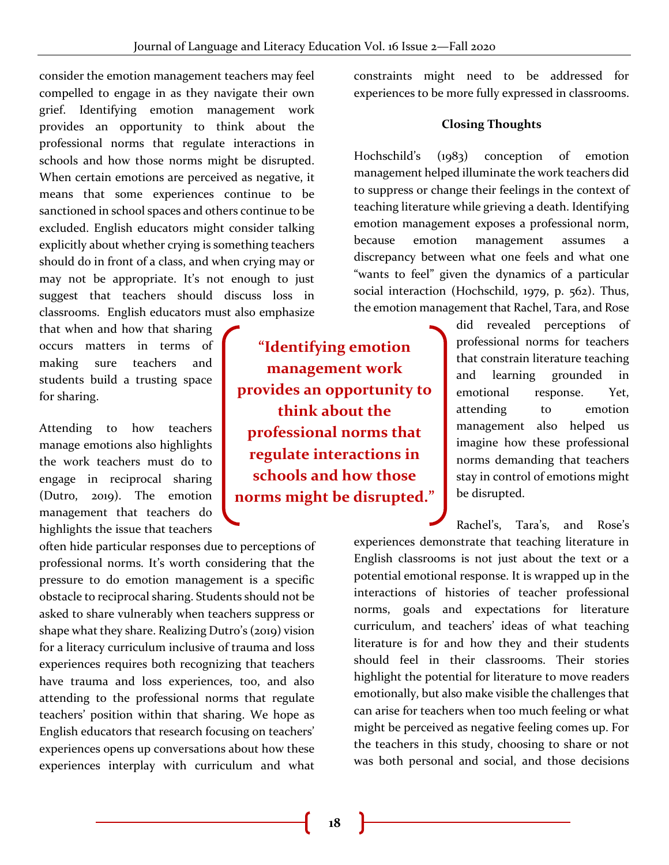consider the emotion management teachers may feel compelled to engage in as they navigate their own grief. Identifying emotion management work provides an opportunity to think about the professional norms that regulate interactions in schools and how those norms might be disrupted. When certain emotions are perceived as negative, it means that some experiences continue to be sanctioned in school spaces and others continue to be excluded. English educators might consider talking explicitly about whether crying is something teachers should do in front of a class, and when crying may or may not be appropriate. It's not enough to just suggest that teachers should discuss loss in classrooms. English educators must also emphasize

that when and how that sharing occurs matters in terms of making sure teachers and students build a trusting space for sharing.

Attending to how teachers manage emotions also highlights the work teachers must do to engage in reciprocal sharing (Dutro, 2019). The emotion management that teachers do highlights the issue that teachers

often hide particular responses due to perceptions of professional norms. It's worth considering that the pressure to do emotion management is a specific obstacle to reciprocal sharing. Students should not be asked to share vulnerably when teachers suppress or shape what they share. Realizing Dutro's (2019) vision for a literacy curriculum inclusive of trauma and loss experiences requires both recognizing that teachers have trauma and loss experiences, too, and also attending to the professional norms that regulate teachers' position within that sharing. We hope as English educators that research focusing on teachers' experiences opens up conversations about how these experiences interplay with curriculum and what

**"Identifying emotion management work provides an opportunity to think about the professional norms that regulate interactions in schools and how those norms might be disrupted."**

constraints might need to be addressed for experiences to be more fully expressed in classrooms.

#### **Closing Thoughts**

Hochschild's (1983) conception of emotion management helped illuminate the work teachers did to suppress or change their feelings in the context of teaching literature while grieving a death. Identifying emotion management exposes a professional norm, because emotion management assumes a discrepancy between what one feels and what one "wants to feel" given the dynamics of a particular social interaction (Hochschild, 1979, p. 562). Thus, the emotion management that Rachel, Tara, and Rose

> did revealed perceptions of professional norms for teachers that constrain literature teaching and learning grounded in emotional response. Yet, attending to emotion management also helped us imagine how these professional norms demanding that teachers stay in control of emotions might be disrupted.

Rachel's, Tara's, and Rose's experiences demonstrate that teaching literature in English classrooms is not just about the text or a potential emotional response. It is wrapped up in the interactions of histories of teacher professional norms, goals and expectations for literature curriculum, and teachers' ideas of what teaching literature is for and how they and their students should feel in their classrooms. Their stories highlight the potential for literature to move readers emotionally, but also make visible the challenges that can arise for teachers when too much feeling or what might be perceived as negative feeling comes up. For the teachers in this study, choosing to share or not was both personal and social, and those decisions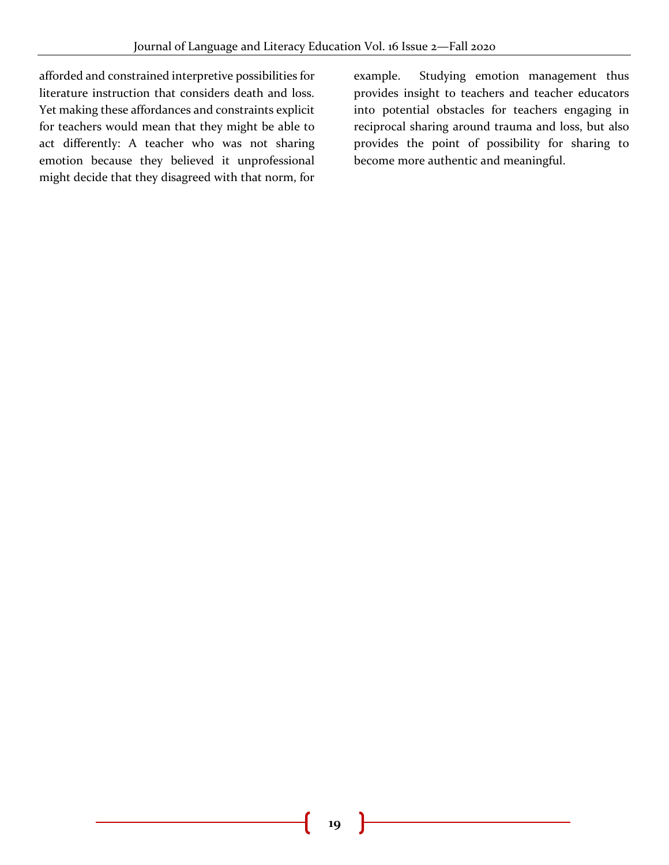afforded and constrained interpretive possibilities for literature instruction that considers death and loss. Yet making these affordances and constraints explicit for teachers would mean that they might be able to act differently: A teacher who was not sharing emotion because they believed it unprofessional might decide that they disagreed with that norm, for

example. Studying emotion management thus provides insight to teachers and teacher educators into potential obstacles for teachers engaging in reciprocal sharing around trauma and loss, but also provides the point of possibility for sharing to become more authentic and meaningful.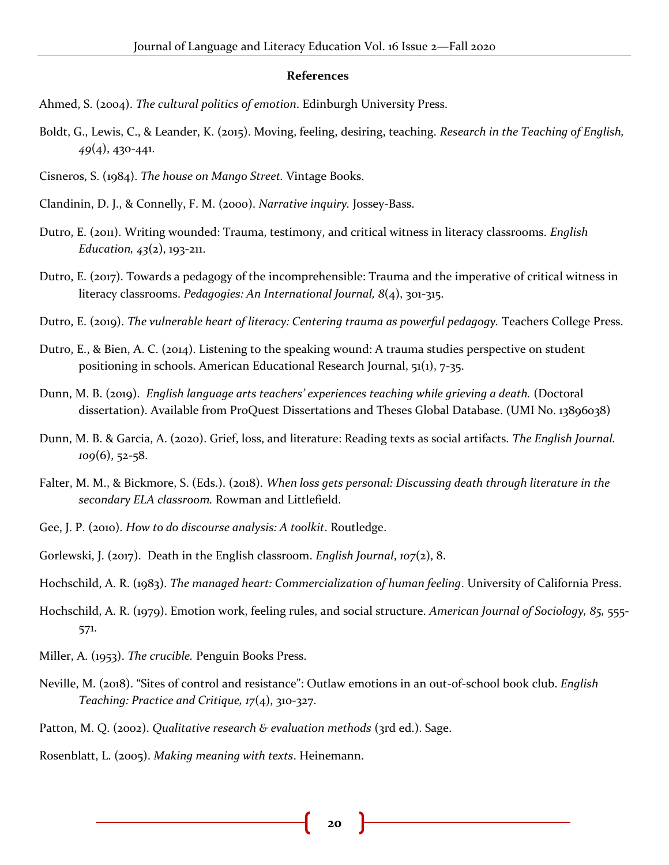#### **References**

- Ahmed, S. (2004). *The cultural politics of emotion*. Edinburgh University Press.
- Boldt, G., Lewis, C., & Leander, K. (2015). Moving, feeling, desiring, teaching. *Research in the Teaching of English, 49*(4), 430-441.
- Cisneros, S. (1984). *The house on Mango Street.* Vintage Books.
- Clandinin, D. J., & Connelly, F. M. (2000). *Narrative inquiry.* Jossey-Bass.
- Dutro, E. (2011). Writing wounded: Trauma, testimony, and critical witness in literacy classrooms. *English Education, 43*(2), 193-211.
- Dutro, E. (2017). Towards a pedagogy of the incomprehensible: Trauma and the imperative of critical witness in literacy classrooms. *Pedagogies: An International Journal, 8*(4), 301-315.
- Dutro, E. (2019). *The vulnerable heart of literacy: Centering trauma as powerful pedagogy*. Teachers College Press.
- Dutro, E., & Bien, A. C. (2014). Listening to the speaking wound: A trauma studies perspective on student positioning in schools. American Educational Research Journal, 51(1), 7-35.
- Dunn, M. B. (2019). *English language arts teachers' experiences teaching while grieving a death.* (Doctoral dissertation). Available from ProQuest Dissertations and Theses Global Database. (UMI No. 13896038)
- Dunn, M. B. & Garcia, A. (2020). Grief, loss, and literature: Reading texts as social artifacts*. The English Journal. 109*(6), 52-58.
- Falter, M. M., & Bickmore, S. (Eds.). (2018). *When loss gets personal: Discussing death through literature in the secondary ELA classroom.* Rowman and Littlefield.
- Gee, J. P. (2010). *How to do discourse analysis: A toolkit*. Routledge.
- Gorlewski, J. (2017). Death in the English classroom. *English Journal*, *107*(2), 8.
- Hochschild, A. R. (1983). *The managed heart: Commercialization of human feeling*. University of California Press.
- Hochschild, A. R. (1979). Emotion work, feeling rules, and social structure. *American Journal of Sociology, 85,* 555- 571.
- Miller, A. (1953). *The crucible.* Penguin Books Press.
- Neville, M. (2018). "Sites of control and resistance": Outlaw emotions in an out-of-school book club. *English Teaching: Practice and Critique, 17*(4), 310-327.
- Patton, M. Q. (2002). *Qualitative research & evaluation methods* (3rd ed.). Sage.
- Rosenblatt, L. (2005). *Making meaning with texts*. Heinemann.